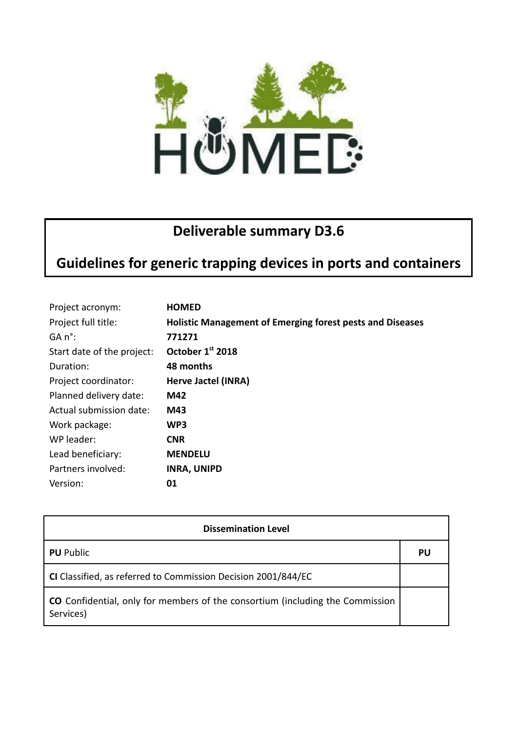

## **Deliverable summary D3.6**

# **Guidelines for generic trapping devices in ports and containers**

| Project acronym:           | <b>HOMED</b>                                                     |
|----------------------------|------------------------------------------------------------------|
| Project full title:        | <b>Holistic Management of Emerging forest pests and Diseases</b> |
| $GA n^{\circ}$ :           | 771271                                                           |
| Start date of the project: | October 1st 2018                                                 |
| Duration:                  | 48 months                                                        |
| Project coordinator:       | Herve Jactel (INRA)                                              |
| Planned delivery date:     | M42                                                              |
| Actual submission date:    | M43                                                              |
| Work package:              | WP3                                                              |
| WP leader:                 | <b>CNR</b>                                                       |
| Lead beneficiary:          | <b>MENDELU</b>                                                   |
| Partners involved:         | <b>INRA, UNIPD</b>                                               |
| Version:                   | 01                                                               |

| <b>Dissemination Level</b>                                                                        |    |  |
|---------------------------------------------------------------------------------------------------|----|--|
| <b>PU</b> Public                                                                                  | PU |  |
| CI Classified, as referred to Commission Decision 2001/844/EC                                     |    |  |
| <b>CO</b> Confidential, only for members of the consortium (including the Commission<br>Services) |    |  |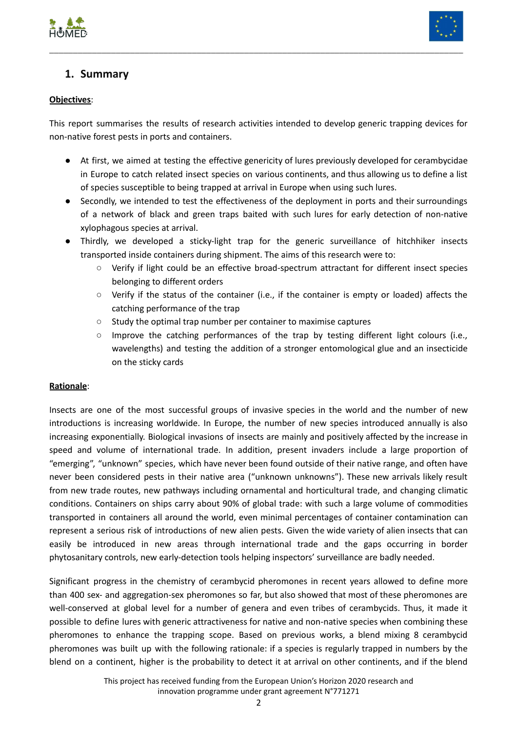



## **1. Summary**

### **Objectives**:

This report summarises the results of research activities intended to develop generic trapping devices for non-native forest pests in ports and containers.

\_\_\_\_\_\_\_\_\_\_\_\_\_\_\_\_\_\_\_\_\_\_\_\_\_\_\_\_\_\_\_\_\_\_\_\_\_\_\_\_\_\_\_\_\_\_\_\_\_\_\_\_\_\_\_\_\_\_\_\_\_\_\_\_\_\_\_\_\_\_\_\_\_\_\_\_\_\_\_\_\_\_\_\_\_\_\_

- At first, we aimed at testing the effective genericity of lures previously developed for cerambycidae in Europe to catch related insect species on various continents, and thus allowing us to define a list of species susceptible to being trapped at arrival in Europe when using such lures.
- Secondly, we intended to test the effectiveness of the deployment in ports and their surroundings of a network of black and green traps baited with such lures for early detection of non-native xylophagous species at arrival.
- Thirdly, we developed a sticky-light trap for the generic surveillance of hitchhiker insects transported inside containers during shipment. The aims of this research were to:
	- Verify if light could be an effective broad-spectrum attractant for different insect species belonging to different orders
	- Verify if the status of the container (i.e., if the container is empty or loaded) affects the catching performance of the trap
	- Study the optimal trap number per container to maximise captures
	- Improve the catching performances of the trap by testing different light colours (i.e., wavelengths) and testing the addition of a stronger entomological glue and an insecticide on the sticky cards

#### **Rationale**:

Insects are one of the most successful groups of invasive species in the world and the number of new introductions is increasing worldwide. In Europe, the number of new species introduced annually is also increasing exponentially. Biological invasions of insects are mainly and positively affected by the increase in speed and volume of international trade. In addition, present invaders include a large proportion of "emerging", "unknown" species, which have never been found outside of their native range, and often have never been considered pests in their native area ("unknown unknowns"). These new arrivals likely result from new trade routes, new pathways including ornamental and horticultural trade, and changing climatic conditions. Containers on ships carry about 90% of global trade: with such a large volume of commodities transported in containers all around the world, even minimal percentages of container contamination can represent a serious risk of introductions of new alien pests. Given the wide variety of alien insects that can easily be introduced in new areas through international trade and the gaps occurring in border phytosanitary controls, new early-detection tools helping inspectors' surveillance are badly needed.

Significant progress in the chemistry of cerambycid pheromones in recent years allowed to define more than 400 sex- and aggregation-sex pheromones so far, but also showed that most of these pheromones are well-conserved at global level for a number of genera and even tribes of cerambycids. Thus, it made it possible to define lures with generic attractiveness for native and non-native species when combining these pheromones to enhance the trapping scope. Based on previous works, a blend mixing 8 cerambycid pheromones was built up with the following rationale: if a species is regularly trapped in numbers by the blend on a continent, higher is the probability to detect it at arrival on other continents, and if the blend